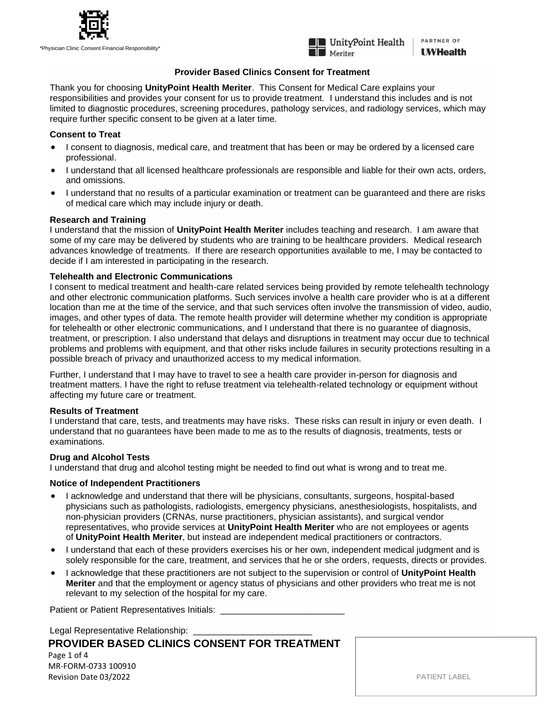



PARTNER OF **UWHealth** 

# **Provider Based Clinics Consent for Treatment**

Thank you for choosing **UnityPoint Health Meriter**. This Consent for Medical Care explains your responsibilities and provides your consent for us to provide treatment. I understand this includes and is not limited to diagnostic procedures, screening procedures, pathology services, and radiology services, which may require further specific consent to be given at a later time.

## **Consent to Treat**

- I consent to diagnosis, medical care, and treatment that has been or may be ordered by a licensed care professional.
- I understand that all licensed healthcare professionals are responsible and liable for their own acts, orders, and omissions.
- I understand that no results of a particular examination or treatment can be guaranteed and there are risks of medical care which may include injury or death.

# **Research and Training**

I understand that the mission of **UnityPoint Health Meriter** includes teaching and research. I am aware that some of my care may be delivered by students who are training to be healthcare providers. Medical research advances knowledge of treatments. If there are research opportunities available to me, I may be contacted to decide if I am interested in participating in the research.

# **Telehealth and Electronic Communications**

I consent to medical treatment and health-care related services being provided by remote telehealth technology and other electronic communication platforms. Such services involve a health care provider who is at a different location than me at the time of the service, and that such services often involve the transmission of video, audio, images, and other types of data. The remote health provider will determine whether my condition is appropriate for telehealth or other electronic communications, and I understand that there is no guarantee of diagnosis, treatment, or prescription. I also understand that delays and disruptions in treatment may occur due to technical problems and problems with equipment, and that other risks include failures in security protections resulting in a possible breach of privacy and unauthorized access to my medical information.

Further, I understand that I may have to travel to see a health care provider in-person for diagnosis and treatment matters. I have the right to refuse treatment via telehealth-related technology or equipment without affecting my future care or treatment.

## **Results of Treatment**

I understand that care, tests, and treatments may have risks. These risks can result in injury or even death. I understand that no guarantees have been made to me as to the results of diagnosis, treatments, tests or examinations.

# **Drug and Alcohol Tests**

I understand that drug and alcohol testing might be needed to find out what is wrong and to treat me.

# **Notice of Independent Practitioners**

- I acknowledge and understand that there will be physicians, consultants, surgeons, hospital-based physicians such as pathologists, radiologists, emergency physicians, anesthesiologists, hospitalists, and non-physician providers (CRNAs, nurse practitioners, physician assistants), and surgical vendor representatives, who provide services at **UnityPoint Health Meriter** who are not employees or agents of **UnityPoint Health Meriter**, but instead are independent medical practitioners or contractors.
- I understand that each of these providers exercises his or her own, independent medical judgment and is solely responsible for the care, treatment, and services that he or she orders, requests, directs or provides.
- I acknowledge that these practitioners are not subject to the supervision or control of **UnityPoint Health Meriter** and that the employment or agency status of physicians and other providers who treat me is not relevant to my selection of the hospital for my care.

Patient or Patient Representatives Initials: \_

Legal Representative Relationship:

**PROVIDER BASED CLINICS CONSENT FOR TREATMENT** Page 1 of 4 MR-FORM-0733 100910 Revision Date 03/2022

PATIENT LABEL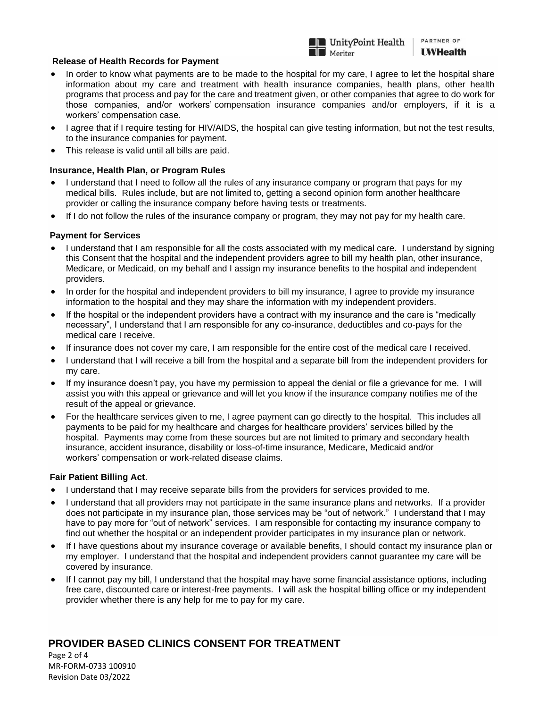

## **Release of Health Records for Payment**

- In order to know what payments are to be made to the hospital for my care, I agree to let the hospital share information about my care and treatment with health insurance companies, health plans, other health programs that process and pay for the care and treatment given, or other companies that agree to do work for those companies, and/or workers' compensation insurance companies and/or employers, if it is a workers' compensation case.
- I agree that if I require testing for HIV/AIDS, the hospital can give testing information, but not the test results, to the insurance companies for payment.
- This release is valid until all bills are paid.

## **Insurance, Health Plan, or Program Rules**

- I understand that I need to follow all the rules of any insurance company or program that pays for my medical bills. Rules include, but are not limited to, getting a second opinion form another healthcare provider or calling the insurance company before having tests or treatments.
- If I do not follow the rules of the insurance company or program, they may not pay for my health care.

## **Payment for Services**

- I understand that I am responsible for all the costs associated with my medical care. I understand by signing this Consent that the hospital and the independent providers agree to bill my health plan, other insurance, Medicare, or Medicaid, on my behalf and I assign my insurance benefits to the hospital and independent providers.
- In order for the hospital and independent providers to bill my insurance, I agree to provide my insurance information to the hospital and they may share the information with my independent providers.
- If the hospital or the independent providers have a contract with my insurance and the care is "medically necessary", I understand that I am responsible for any co-insurance, deductibles and co-pays for the medical care I receive.
- If insurance does not cover my care, I am responsible for the entire cost of the medical care I received.
- I understand that I will receive a bill from the hospital and a separate bill from the independent providers for my care.
- If my insurance doesn't pay, you have my permission to appeal the denial or file a grievance for me. I will assist you with this appeal or grievance and will let you know if the insurance company notifies me of the result of the appeal or grievance.
- For the healthcare services given to me, I agree payment can go directly to the hospital. This includes all payments to be paid for my healthcare and charges for healthcare providers' services billed by the hospital. Payments may come from these sources but are not limited to primary and secondary health insurance, accident insurance, disability or loss-of-time insurance, Medicare, Medicaid and/or workers' compensation or work-related disease claims.

## **Fair Patient Billing Act**.

- I understand that I may receive separate bills from the providers for services provided to me.
- I understand that all providers may not participate in the same insurance plans and networks. If a provider does not participate in my insurance plan, those services may be "out of network." I understand that I may have to pay more for "out of network" services. I am responsible for contacting my insurance company to find out whether the hospital or an independent provider participates in my insurance plan or network.
- If I have questions about my insurance coverage or available benefits, I should contact my insurance plan or my employer. I understand that the hospital and independent providers cannot guarantee my care will be covered by insurance.
- If I cannot pay my bill, I understand that the hospital may have some financial assistance options, including free care, discounted care or interest-free payments. I will ask the hospital billing office or my independent provider whether there is any help for me to pay for my care.

# **PROVIDER BASED CLINICS CONSENT FOR TREATMENT**

Page 2 of 4 MR-FORM-0733 100910 Revision Date 03/2022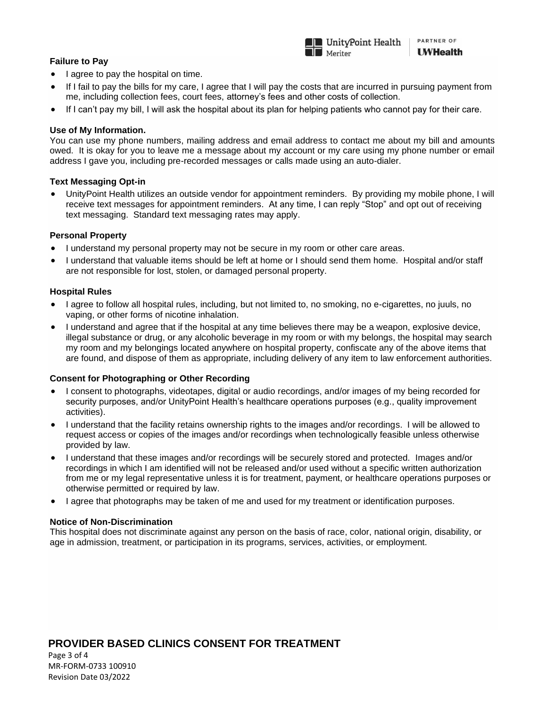#### $\overline{\phantom{a}}$ **Failure to Pay**

- I agree to pay the hospital on time.
- If I fail to pay the bills for my care, I agree that I will pay the costs that are incurred in pursuing payment from me, including collection fees, court fees, attorney's fees and other costs of collection.

PARTNER OF

**UWHealth** 

**InityPoint Health** 

 $\blacksquare$  Meriter

• If I can't pay my bill, I will ask the hospital about its plan for helping patients who cannot pay for their care.

## **Use of My Information.**

You can use my phone numbers, mailing address and email address to contact me about my bill and amounts owed. It is okay for you to leave me a message about my account or my care using my phone number or email address I gave you, including pre-recorded messages or calls made using an auto-dialer.

### **Text Messaging Opt-in**

• UnityPoint Health utilizes an outside vendor for appointment reminders. By providing my mobile phone, I will receive text messages for appointment reminders. At any time, I can reply "Stop" and opt out of receiving text messaging. Standard text messaging rates may apply.

### **Personal Property**

- I understand my personal property may not be secure in my room or other care areas.
- I understand that valuable items should be left at home or I should send them home. Hospital and/or staff are not responsible for lost, stolen, or damaged personal property.

### **Hospital Rules**

- I agree to follow all hospital rules, including, but not limited to, no smoking, no e-cigarettes, no juuls, no vaping, or other forms of nicotine inhalation.
- I understand and agree that if the hospital at any time believes there may be a weapon, explosive device, illegal substance or drug, or any alcoholic beverage in my room or with my belongs, the hospital may search my room and my belongings located anywhere on hospital property, confiscate any of the above items that are found, and dispose of them as appropriate, including delivery of any item to law enforcement authorities.

## **Consent for Photographing or Other Recording**

- I consent to photographs, videotapes, digital or audio recordings, and/or images of my being recorded for security purposes, and/or UnityPoint Health's healthcare operations purposes (e.g., quality improvement activities).
- I understand that the facility retains ownership rights to the images and/or recordings. I will be allowed to request access or copies of the images and/or recordings when technologically feasible unless otherwise provided by law.
- I understand that these images and/or recordings will be securely stored and protected. Images and/or recordings in which I am identified will not be released and/or used without a specific written authorization from me or my legal representative unless it is for treatment, payment, or healthcare operations purposes or otherwise permitted or required by law.
- I agree that photographs may be taken of me and used for my treatment or identification purposes.

### **Notice of Non-Discrimination**

This hospital does not discriminate against any person on the basis of race, color, national origin, disability, or age in admission, treatment, or participation in its programs, services, activities, or employment.